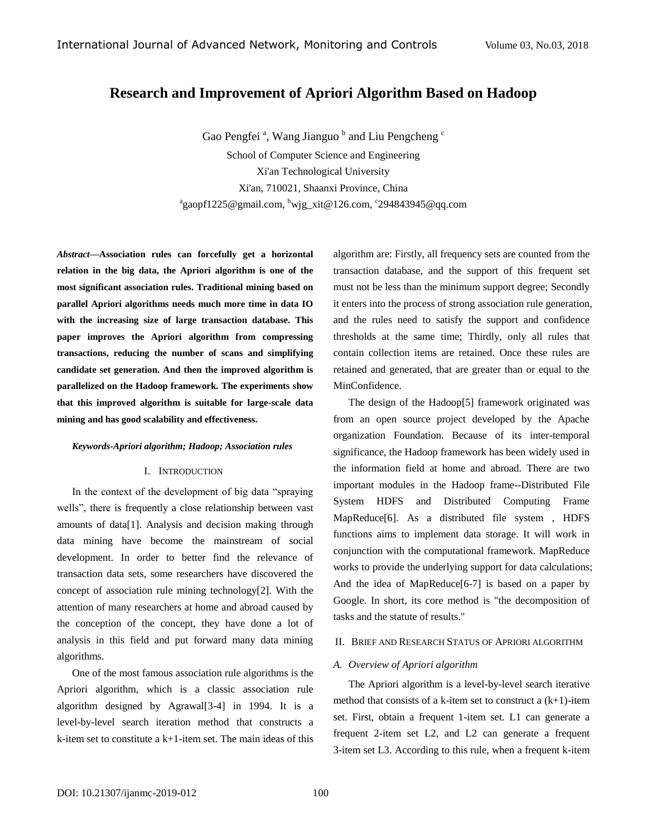# **Research and Improvement of Apriori Algorithm Based on Hadoop**

Gao Pengfei<sup>a</sup>, Wang Jianguo<sup>b</sup> and Liu Pengcheng<sup>c</sup> School of Computer Science and Engineering Xi'an Technological University Xi'an, 710021, Shaanxi Province, China a gaopf1225@gmail.com, <sup>b</sup>wjg\_xit@126.com, c 294843945@qq.com

*Abstract—***Association rules can forcefully get a horizontal relation in the big data, the Apriori algorithm is one of the most significant association rules. Traditional mining based on parallel Apriori algorithms needs much more time in data IO with the increasing size of large transaction database. This paper improves the Apriori algorithm from compressing transactions, reducing the number of scans and simplifying candidate set generation. And then the improved algorithm is parallelized on the Hadoop framework. The experiments show that this improved algorithm is suitable for large-scale data mining and has good scalability and effectiveness.**

#### *Keywords-Apriori algorithm; Hadoop; Association rules*

#### I. INTRODUCTION

In the context of the development of big data "spraying wells", there is frequently a close relationship between vast amounts of data[1]. Analysis and decision making through data mining have become the mainstream of social development. In order to better find the relevance of transaction data sets, some researchers have discovered the concept of association rule mining technology[2]. With the attention of many researchers at home and abroad caused by the conception of the concept, they have done a lot of analysis in this field and put forward many data mining algorithms.

One of the most famous association rule algorithms is the Apriori algorithm, which is a classic association rule algorithm designed by Agrawal[3-4] in 1994. It is a level-by-level search iteration method that constructs a k-item set to constitute a k+1-item set. The main ideas of this

algorithm are: Firstly, all frequency sets are counted from the transaction database, and the support of this frequent set must not be less than the minimum support degree; Secondly it enters into the process of strong association rule generation, and the rules need to satisfy the support and confidence thresholds at the same time; Thirdly, only all rules that contain collection items are retained. Once these rules are retained and generated, that are greater than or equal to the MinConfidence.

The design of the Hadoop[5] framework originated was from an open source project developed by the Apache organization Foundation. Because of its inter-temporal significance, the Hadoop framework has been widely used in the information field at home and abroad. There are two important modules in the Hadoop frame--Distributed File System HDFS and Distributed Computing Frame MapReduce[6]. As a distributed file system , HDFS functions aims to implement data storage. It will work in conjunction with the computational framework. MapReduce works to provide the underlying support for data calculations; And the idea of MapReduce[6-7] is based on a paper by Google. In short, its core method is "the decomposition of tasks and the statute of results."

### II. BRIEF AND RESEARCH STATUS OF APRIORI ALGORITHM

### *A. Overview of Apriori algorithm*

The Apriori algorithm is a level-by-level search iterative method that consists of a k-item set to construct a  $(k+1)$ -item set. First, obtain a frequent 1-item set. L1 can generate a frequent 2-item set L2, and L2 can generate a frequent 3-item set L3. According to this rule, when a frequent k-item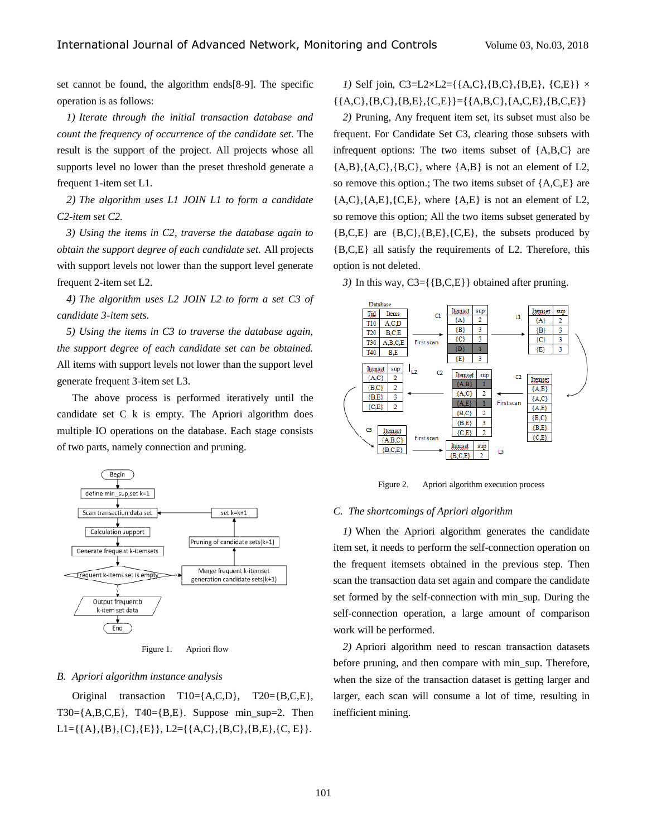set cannot be found, the algorithm ends[8-9]. The specific operation is as follows:

*1) Iterate through the initial transaction database and count the frequency of occurrence of the candidate set.* The result is the support of the project. All projects whose all supports level no lower than the preset threshold generate a frequent 1-item set L1.

*2) The algorithm uses L1 JOIN L1 to form a candidate C2-item set C2.*

*3) Using the items in C2, traverse the database again to obtain the support degree of each candidate set.* All projects with support levels not lower than the support level generate frequent 2-item set L2.

*4) The algorithm uses L2 JOIN L2 to form a set C3 of candidate 3-item sets.*

*5) Using the items in C3 to traverse the database again, the support degree of each candidate set can be obtained.*  All items with support levels not lower than the support level generate frequent 3-item set L3.

The above process is performed iteratively until the candidate set C k is empty. The Apriori algorithm does multiple IO operations on the database. Each stage consists of two parts, namely connection and pruning.





#### *B. Apriori algorithm instance analysis*

Original transaction T10={A,C,D}, T20={B,C,E}, T30={A,B,C,E}, T40={B,E}. Suppose min\_sup=2. Then  $L1 = \{\{A\}, \{B\}, \{C\}, \{E\}\}\$ ,  $L2 = \{\{A, C\}, \{B, C\}, \{B, E\}, \{C, E\}\}\$ .

*1*) Self join, C3=L2×L2={{A,C},{B,C},{B,E}, {C,E}}  $\times$  $\{\{A, C\}, \{B, C\}, \{B, E\}, \{C, E\}\}=\{\{A, B, C\}, \{A, C, E\}, \{B, C, E\}\}\$ 

*2)* Pruning, Any frequent item set, its subset must also be frequent. For Candidate Set C3, clearing those subsets with infrequent options: The two items subset of  ${A, B, C}$  are  ${A,B}, {A,C}, {B,C},$  where  ${A,B}$  is not an element of L2, so remove this option.; The two items subset of {A,C,E} are  ${A, C}, {A, E}, {C, E},$  where  ${A, E}$  is not an element of L2, so remove this option; All the two items subset generated by  ${B, C, E}$  are  ${B, C}, {B, E}, {C, E}$ , the subsets produced by {B,C,E} all satisfy the requirements of L2. Therefore, this option is not deleted.

*3)* In this way, C3={{B,C,E}} obtained after pruning.



Figure 2. Apriori algorithm execution process

#### *C. The shortcomings of Apriori algorithm*

*1)* When the Apriori algorithm generates the candidate item set, it needs to perform the self-connection operation on the frequent itemsets obtained in the previous step. Then scan the transaction data set again and compare the candidate set formed by the self-connection with min\_sup. During the self-connection operation, a large amount of comparison work will be performed.

*2)* Apriori algorithm need to rescan transaction datasets before pruning, and then compare with min\_sup. Therefore, when the size of the transaction dataset is getting larger and larger, each scan will consume a lot of time, resulting in inefficient mining.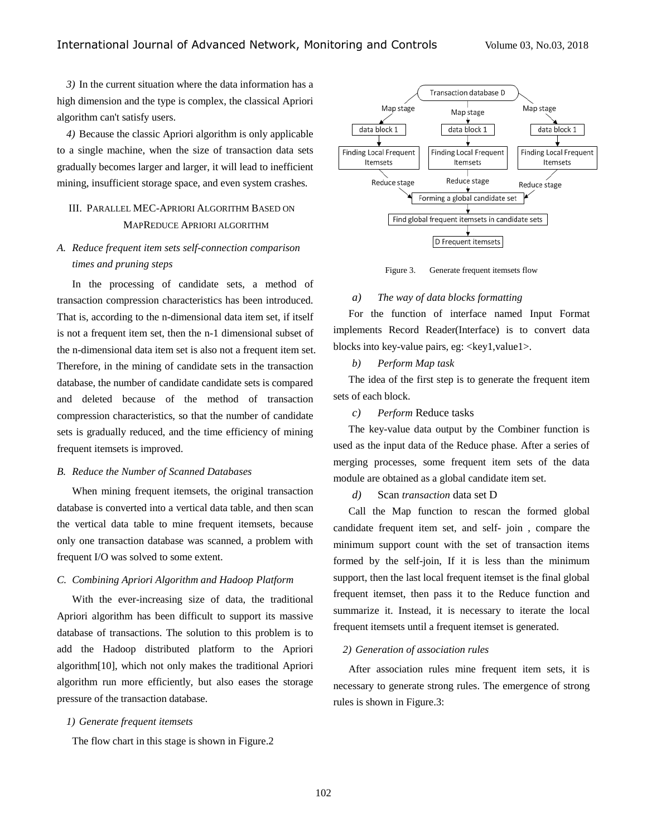*3)* In the current situation where the data information has a high dimension and the type is complex, the classical Apriori algorithm can't satisfy users.

*4)* Because the classic Apriori algorithm is only applicable to a single machine, when the size of transaction data sets gradually becomes larger and larger, it will lead to inefficient mining, insufficient storage space, and even system crashes.

# III. PARALLEL MEC-APRIORI ALGORITHM BASED ON MAPREDUCE APRIORI ALGORITHM

# *A. Reduce frequent item sets self-connection comparison times and pruning steps*

In the processing of candidate sets, a method of transaction compression characteristics has been introduced. That is, according to the n-dimensional data item set, if itself is not a frequent item set, then the n-1 dimensional subset of the n-dimensional data item set is also not a frequent item set. Therefore, in the mining of candidate sets in the transaction database, the number of candidate candidate sets is compared and deleted because of the method of transaction compression characteristics, so that the number of candidate sets is gradually reduced, and the time efficiency of mining frequent itemsets is improved.

#### *B. Reduce the Number of Scanned Databases*

When mining frequent itemsets, the original transaction database is converted into a vertical data table, and then scan the vertical data table to mine frequent itemsets, because only one transaction database was scanned, a problem with frequent I/O was solved to some extent.

## *C. Combining Apriori Algorithm and Hadoop Platform*

With the ever-increasing size of data, the traditional Apriori algorithm has been difficult to support its massive database of transactions. The solution to this problem is to add the Hadoop distributed platform to the Apriori algorithm[10], which not only makes the traditional Apriori algorithm run more efficiently, but also eases the storage pressure of the transaction database.

### *1) Generate frequent itemsets*

The flow chart in this stage is shown in Figure.2



Figure 3. Generate frequent itemsets flow

### *a) The way of data blocks formatting*

For the function of interface named Input Format implements Record Reader(Interface) is to convert data blocks into key-value pairs, eg:  $\langle \text{key1}, \text{value1} \rangle$ .

# *b) Perform Map task*

The idea of the first step is to generate the frequent item sets of each block.

*c) Perform* Reduce tasks

The key-value data output by the Combiner function is used as the input data of the Reduce phase. After a series of merging processes, some frequent item sets of the data module are obtained as a global candidate item set.

*d)* Scan *transaction* data set D

Call the Map function to rescan the formed global candidate frequent item set, and self- join , compare the minimum support count with the set of transaction items formed by the self-join, If it is less than the minimum support, then the last local frequent itemset is the final global frequent itemset, then pass it to the Reduce function and summarize it. Instead, it is necessary to iterate the local frequent itemsets until a frequent itemset is generated.

## *2) Generation of association rules*

After association rules mine frequent item sets, it is necessary to generate strong rules. The emergence of strong rules is shown in Figure.3: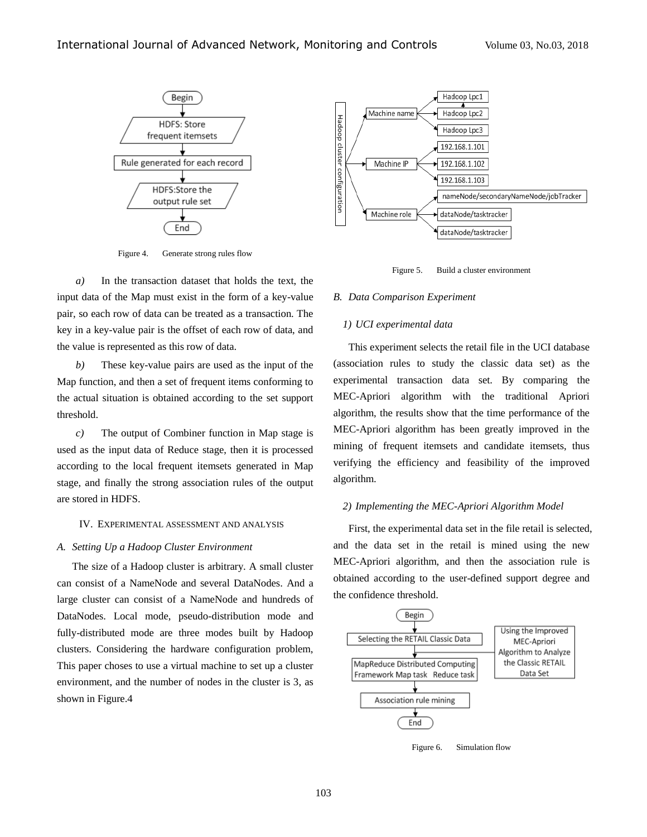

Figure 4. Generate strong rules flow

*a)* In the transaction dataset that holds the text, the input data of the Map must exist in the form of a key-value pair, so each row of data can be treated as a transaction. The key in a key-value pair is the offset of each row of data, and the value is represented as this row of data.

*b)* These key-value pairs are used as the input of the Map function, and then a set of frequent items conforming to the actual situation is obtained according to the set support threshold.

*c)* The output of Combiner function in Map stage is used as the input data of Reduce stage, then it is processed according to the local frequent itemsets generated in Map stage, and finally the strong association rules of the output are stored in HDFS.

### IV. EXPERIMENTAL ASSESSMENT AND ANALYSIS

#### *A. Setting Up a Hadoop Cluster Environment*

The size of a Hadoop cluster is arbitrary. A small cluster can consist of a NameNode and several DataNodes. And a large cluster can consist of a NameNode and hundreds of DataNodes. Local mode, pseudo-distribution mode and fully-distributed mode are three modes built by Hadoop clusters. Considering the hardware configuration problem, This paper choses to use a virtual machine to set up a cluster environment, and the number of nodes in the cluster is 3, as shown in Figure.4



Figure 5. Build a cluster environment

#### *B. Data Comparison Experiment*

### *1) UCI experimental data*

This experiment selects the retail file in the UCI database (association rules to study the classic data set) as the experimental transaction data set. By comparing the MEC-Apriori algorithm with the traditional Apriori algorithm, the results show that the time performance of the MEC-Apriori algorithm has been greatly improved in the mining of frequent itemsets and candidate itemsets, thus verifying the efficiency and feasibility of the improved algorithm.

#### *2) Implementing the MEC-Apriori Algorithm Model*

First, the experimental data set in the file retail is selected, and the data set in the retail is mined using the new MEC-Apriori algorithm, and then the association rule is obtained according to the user-defined support degree and the confidence threshold.



Figure 6. Simulation flow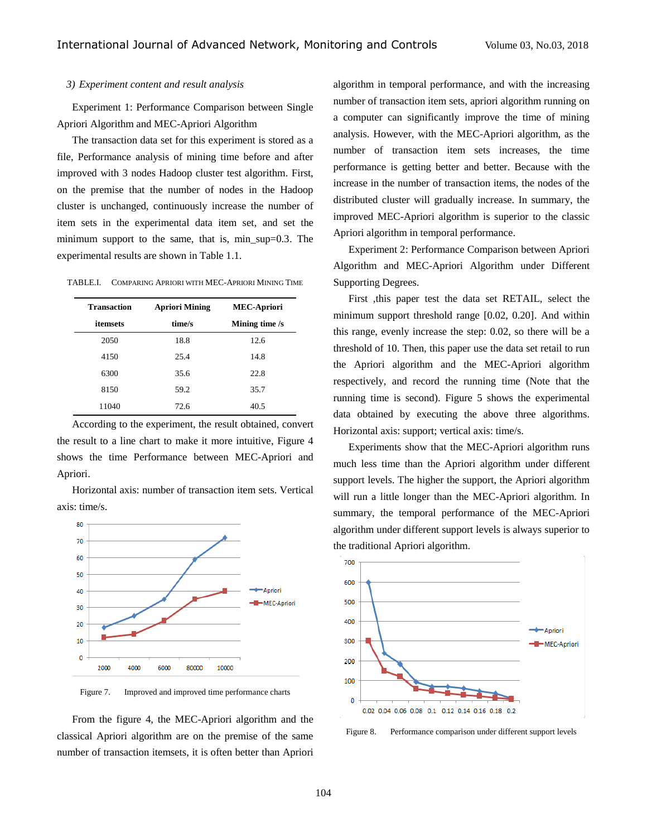## *3) Experiment content and result analysis*

Experiment 1: Performance Comparison between Single Apriori Algorithm and MEC-Apriori Algorithm

The transaction data set for this experiment is stored as a file, Performance analysis of mining time before and after improved with 3 nodes Hadoop cluster test algorithm. First, on the premise that the number of nodes in the Hadoop cluster is unchanged, continuously increase the number of item sets in the experimental data item set, and set the minimum support to the same, that is, min  $\text{sup=0.3.}$  The experimental results are shown in Table 1.1.

| TABLE.I. | COMPARING APRIORI WITH MEC-APRIORI MINING TIME |  |
|----------|------------------------------------------------|--|
|          |                                                |  |

| <b>Transaction</b> | <b>Apriori Mining</b> | <b>MEC-Apriori</b> |
|--------------------|-----------------------|--------------------|
| <i>itemsets</i>    | time/s                | Mining time /s     |
| 2050               | 18.8                  | 12.6               |
| 4150               | 25.4                  | 14.8               |
| 6300               | 35.6                  | 22.8               |
| 8150               | 59.2                  | 35.7               |
| 11040              | 72.6                  | 40.5               |

According to the experiment, the result obtained, convert the result to a line chart to make it more intuitive, Figure 4 shows the time Performance between MEC-Apriori and Apriori.

Horizontal axis: number of transaction item sets. Vertical axis: time/s.



Figure 7. Improved and improved time performance charts

From the figure 4, the MEC-Apriori algorithm and the classical Apriori algorithm are on the premise of the same number of transaction itemsets, it is often better than Apriori

algorithm in temporal performance, and with the increasing number of transaction item sets, apriori algorithm running on a computer can significantly improve the time of mining analysis. However, with the MEC-Apriori algorithm, as the number of transaction item sets increases, the time performance is getting better and better. Because with the increase in the number of transaction items, the nodes of the distributed cluster will gradually increase. In summary, the improved MEC-Apriori algorithm is superior to the classic Apriori algorithm in temporal performance.

Experiment 2: Performance Comparison between Apriori Algorithm and MEC-Apriori Algorithm under Different Supporting Degrees.

First ,this paper test the data set RETAIL, select the minimum support threshold range [0.02, 0.20]. And within this range, evenly increase the step: 0.02, so there will be a threshold of 10. Then, this paper use the data set retail to run the Apriori algorithm and the MEC-Apriori algorithm respectively, and record the running time (Note that the running time is second). Figure 5 shows the experimental data obtained by executing the above three algorithms. Horizontal axis: support; vertical axis: time/s.

Experiments show that the MEC-Apriori algorithm runs much less time than the Apriori algorithm under different support levels. The higher the support, the Apriori algorithm will run a little longer than the MEC-Apriori algorithm. In summary, the temporal performance of the MEC-Apriori algorithm under different support levels is always superior to the traditional Apriori algorithm.



Figure 8. Performance comparison under different support levels